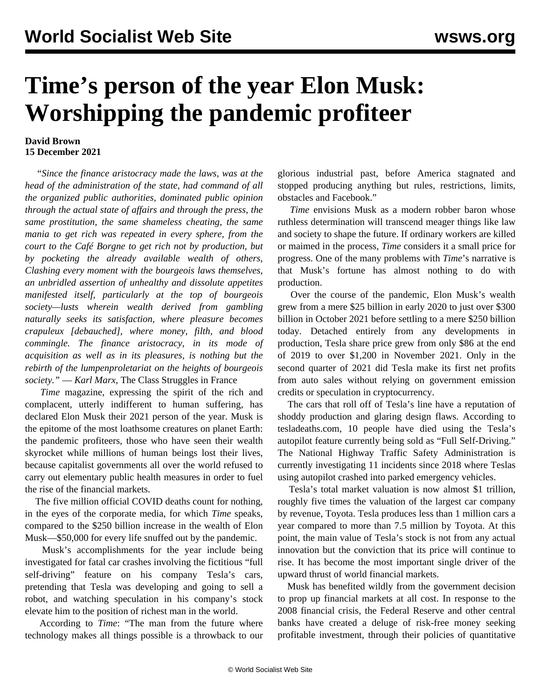## **Time's person of the year Elon Musk: Worshipping the pandemic profiteer**

## **David Brown 15 December 2021**

 "*Since the finance aristocracy made the laws, was at the head of the administration of the state, had command of all the organized public authorities, dominated public opinion through the actual state of affairs and through the press, the same prostitution, the same shameless cheating, the same mania to get rich was repeated in every sphere, from the court to the Café Borgne to get rich not by production, but by pocketing the already available wealth of others, Clashing every moment with the bourgeois laws themselves, an unbridled assertion of unhealthy and dissolute appetites manifested itself, particularly at the top of bourgeois society—lusts wherein wealth derived from gambling naturally seeks its satisfaction, where pleasure becomes crapuleux [debauched], where money, filth, and blood commingle. The finance aristocracy, in its mode of acquisition as well as in its pleasures, is nothing but the rebirth of the lumpenproletariat on the heights of bourgeois society."* — *Karl Marx*, The Class Struggles in France

 *Time* magazine, expressing the spirit of the rich and complacent, utterly indifferent to human suffering, has declared Elon Musk their 2021 person of the year. Musk is the epitome of the most loathsome creatures on planet Earth: the pandemic profiteers, those who have seen their wealth skyrocket while millions of human beings lost their lives, because capitalist governments all over the world refused to carry out elementary public health measures in order to fuel the rise of the financial markets.

 The five million official COVID deaths count for nothing, in the eyes of the corporate media, for which *Time* speaks, compared to the \$250 billion increase in the wealth of Elon Musk—\$50,000 for every life snuffed out by the pandemic.

 Musk's accomplishments for the year include being investigated for fatal car crashes involving the fictitious "full self-driving" feature on his company Tesla's cars, pretending that Tesla was developing and going to sell a robot, and watching speculation in his company's stock elevate him to the position of richest man in the world.

 According to *Time*: "The man from the future where technology makes all things possible is a throwback to our glorious industrial past, before America stagnated and stopped producing anything but rules, restrictions, limits, obstacles and Facebook."

 *Time* envisions Musk as a modern robber baron whose ruthless determination will transcend meager things like law and society to shape the future. If ordinary workers are killed or maimed in the process, *Time* considers it a small price for progress. One of the many problems with *Time*'s narrative is that Musk's fortune has almost nothing to do with production.

 Over the course of the pandemic, Elon Musk's wealth grew from a mere \$25 billion in early 2020 to just over \$300 billion in October 2021 before settling to a mere \$250 billion today. Detached entirely from any developments in production, Tesla share price grew from only \$86 at the end of 2019 to over \$1,200 in November 2021. Only in the second quarter of 2021 did Tesla make its first net profits from auto sales without relying on government emission credits or speculation in cryptocurrency.

 The cars that roll off of Tesla's line have a reputation of shoddy production and glaring design flaws. According to tesladeaths.com, 10 people have died using the Tesla's autopilot feature currently being sold as "Full Self-Driving." The National Highway Traffic Safety Administration is currently investigating 11 incidents since 2018 where Teslas using autopilot crashed into parked emergency vehicles.

 Tesla's total market valuation is now almost \$1 trillion, roughly five times the valuation of the largest car company by revenue, Toyota. Tesla produces less than 1 million cars a year compared to more than 7.5 million by Toyota. At this point, the main value of Tesla's stock is not from any actual innovation but the conviction that its price will continue to rise. It has become the most important single driver of the upward thrust of world financial markets.

 Musk has benefited wildly from the government decision to prop up financial markets at all cost. In response to the 2008 financial crisis, the Federal Reserve and other central banks have created a deluge of risk-free money seeking profitable investment, through their policies of quantitative